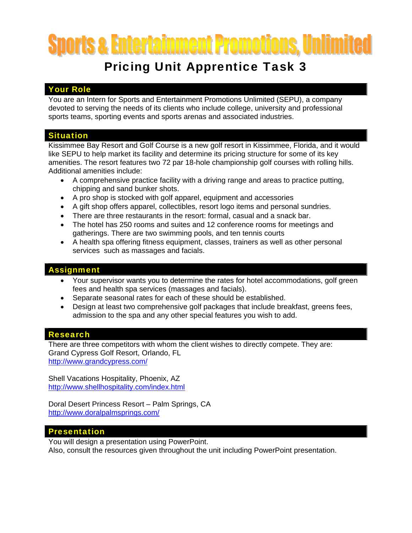# orts & Entertainment Promotions, Unlim

## Pricing Unit Apprentice Task 3

### Your Role

You are an Intern for Sports and Entertainment Promotions Unlimited (SEPU), a company devoted to serving the needs of its clients who include college, university and professional sports teams, sporting events and sports arenas and associated industries.

#### Situation

Kissimmee Bay Resort and Golf Course is a new golf resort in Kissimmee, Florida, and it would like SEPU to help market its facility and determine its pricing structure for some of its key amenities. The resort features two 72 par 18-hole championship golf courses with rolling hills. Additional amenities include:

- A comprehensive practice facility with a driving range and areas to practice putting, chipping and sand bunker shots.
- A pro shop is stocked with golf apparel, equipment and accessories
- A gift shop offers apparel, collectibles, resort logo items and personal sundries.
- There are three restaurants in the resort: formal, casual and a snack bar.
- The hotel has 250 rooms and suites and 12 conference rooms for meetings and gatherings. There are two swimming pools, and ten tennis courts
- A health spa offering fitness equipment, classes, trainers as well as other personal services such as massages and facials.

#### **Assignment**

- Your supervisor wants you to determine the rates for hotel accommodations, golf green fees and health spa services (massages and facials).
- Separate seasonal rates for each of these should be established.
- Design at least two comprehensive golf packages that include breakfast, greens fees, admission to the spa and any other special features you wish to add.

#### Research

There are three competitors with whom the client wishes to directly compete. They are: Grand Cypress Golf Resort, Orlando, FL http://www.grandcypress.com/

Shell Vacations Hospitality, Phoenix, AZ http://www.shellhospitality.com/index.html

Doral Desert Princess Resort – Palm Springs, CA http://www.doralpalmsprings.com/

#### Presentation

You will design a presentation using PowerPoint. Also, consult the resources given throughout the unit including PowerPoint presentation.